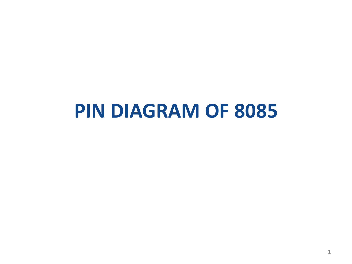# **PIN DIAGRAM OF 8085**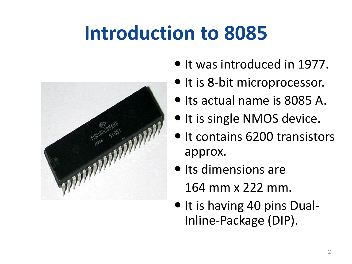# **Introduction to 8085**



- It was introduced in 1977.
- $\bullet$  It is 8-bit microprocessor.
- Its actual name is 8085 A.
- It is single NMOS device.
- It contains 6200 transistors approx.
- Its dimensions are 164 mm x 222 mm.
- $\bullet$  It is having 40 pins Dual-Inline-Package (DIP).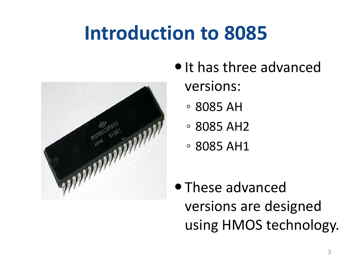# **Introduction to 8085**



- It has three advanced versions:
	- 8085 AH
	- 8085 AH2
	- 8085 AH1
- These advanced versions are designed using HMOS technology.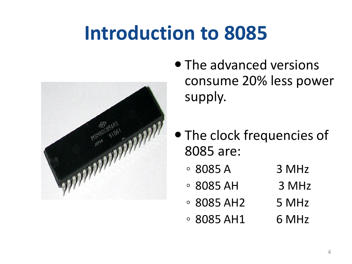# **Introduction to 8085**



- The advanced versions consume 20% less power supply.
- The clock frequencies of 8085 are:
	- $\circ$  8085 A 3 MHz
	- $\degree$  8085 AH 3 MHz
	- $\degree$  8085 AH2 5 MHz
	- $\degree$  8085 AH1 6 MHz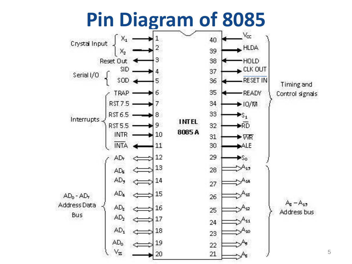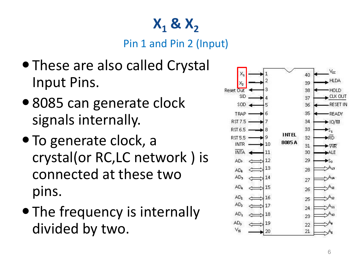# **X <sup>1</sup> & X 2**

Pin 1 and Pin 2 (Input)

- These are also called Crystal Input Pins.
- 8085 can generate clock signals internally.
- To generate clock, a crystal(or RC,LC network ) is connected at these two pins.
- The frequency is internally divided by two.

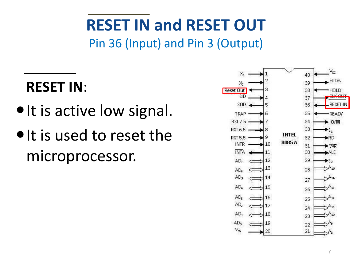# **RESET IN and RESET OUT**

Pin 36 (Input) and Pin 3 (Output)

### **RESET IN**:

- It is active low signal.
- $\bullet$  It is used to reset the microprocessor.

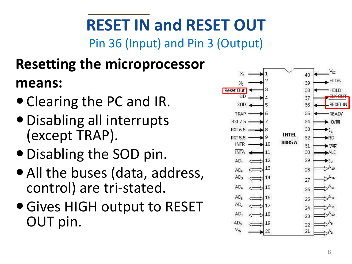# **RESET IN and RESET OUT**

Pin 36 (Input) and Pin 3 (Output)

#### **Resetting the microprocessor means:**

- Clearing the PC and IR.
- Disabling all interrupts (except TRAP).
- Disabling the SOD pin.
- All the buses (data, address, control) are tri-stated.
- Gives HIGH output to RESET OUT pin.

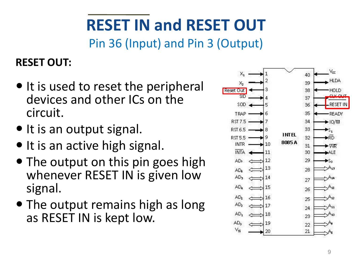# **RESET IN and RESET OUT**

Pin 36 (Input) and Pin 3 (Output)

#### **RESET OUT:**

- $\bullet$  It is used to reset the peripheral devices and other ICs on the circuit.
- It is an output signal.
- It is an active high signal.
- The output on this pin goes high whenever RESET IN is given low signal.
- The output remains high as long as RESET IN is kept low.

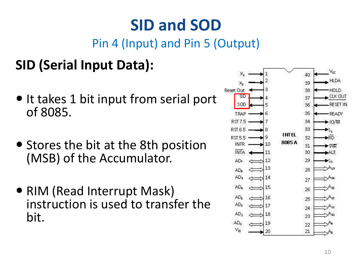# **SID and SOD**

Pin 4 (Input) and Pin 5 (Output)

#### **SID (Serial Input Data):**

- It takes 1 bit input from serial port of 8085.
- Stores the bit at the 8th position (MSB) of the Accumulator.
- RIM (Read Interrupt Mask) instruction is used to transfer the bit.

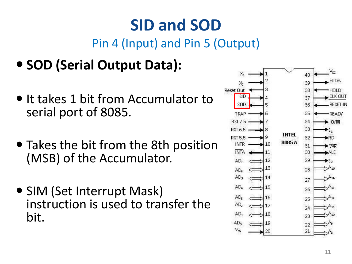# **SID and SOD**

#### Pin 4 (Input) and Pin 5 (Output)

- **SOD (Serial Output Data):**
- It takes 1 bit from Accumulator to serial port of 8085.
- Takes the bit from the 8th position (MSB) of the Accumulator.
- SIM (Set Interrupt Mask) instruction is used to transfer the bit.

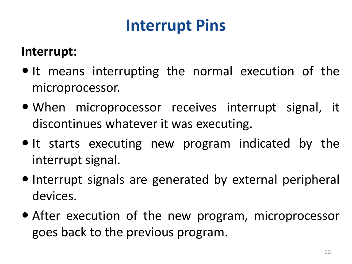# **Interrupt Pins**

#### **Interrupt:**

- $\bullet$  It means interrupting the normal execution of the microprocessor.
- When microprocessor receives interrupt signal, it discontinues whatever it was executing.
- $\bullet$  It starts executing new program indicated by the interrupt signal.
- Interrupt signals are generated by external peripheral devices.
- After execution of the new program, microprocessor goes back to the previous program.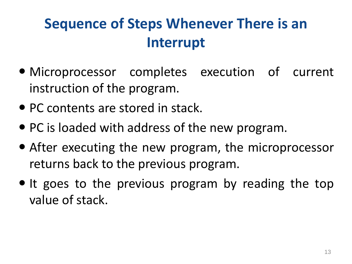### **Sequence of Steps Whenever There is an Interrupt**

- Microprocessor completes execution of current instruction of the program.
- PC contents are stored in stack.
- PC is loaded with address of the new program.
- After executing the new program, the microprocessor returns back to the previous program.
- It goes to the previous program by reading the top value of stack.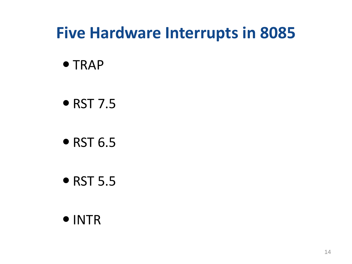## **Five Hardware Interrupts in 8085**

- TRAP
- RST 7.5
- $\bullet$  RST 6.5
- RST 5.5
- INTR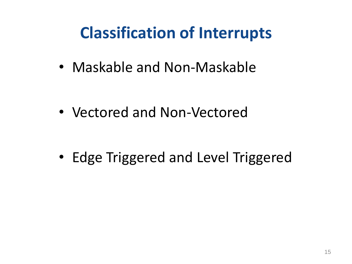# **Classification of Interrupts**

• Maskable and Non-Maskable

• Vectored and Non-Vectored

• Edge Triggered and Level Triggered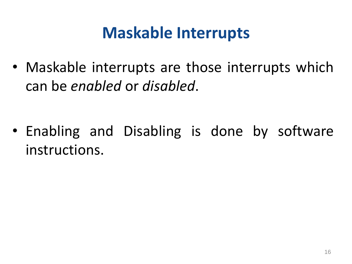### **Maskable Interrupts**

• Maskable interrupts are those interrupts which can be *enabled* or *disabled*.

• Enabling and Disabling is done by software instructions.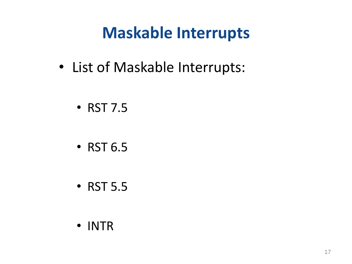## **Maskable Interrupts**

- List of Maskable Interrupts:
	- RST 7.5
	- RST 6.5
	- RST 5.5
	- INTR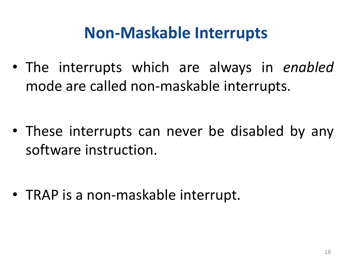### **Non-Maskable Interrupts**

• The interrupts which are always in *enabled* mode are called non-maskable interrupts.

• These interrupts can never be disabled by any software instruction.

• TRAP is a non-maskable interrupt.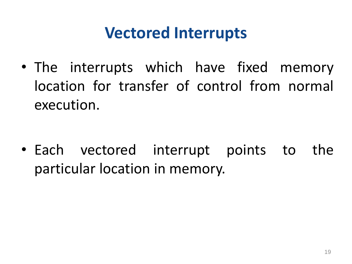### **Vectored Interrupts**

• The interrupts which have fixed memory location for transfer of control from normal execution.

• Each vectored interrupt points to the particular location in memory.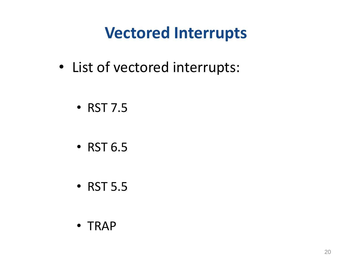## **Vectored Interrupts**

- List of vectored interrupts:
	- RST 7.5
	- RST 6.5
	- RST 5.5
	- TRAP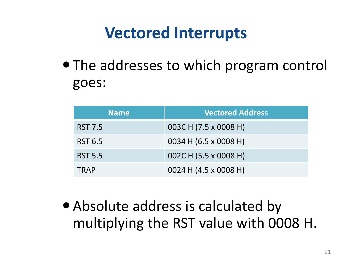## **Vectored Interrupts**

• The addresses to which program control goes:

| <b>Name</b>    | <b>Vectored Address</b> |
|----------------|-------------------------|
| <b>RST 7.5</b> | 003C H (7.5 x 0008 H)   |
| <b>RST 6.5</b> | 0034 H (6.5 x 0008 H)   |
| <b>RST 5.5</b> | 002C H (5.5 x 0008 H)   |
| <b>TRAP</b>    | 0024 H (4.5 x 0008 H)   |

 Absolute address is calculated by multiplying the RST value with 0008 H.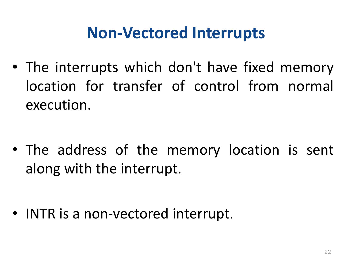## **Non-Vectored Interrupts**

• The interrupts which don't have fixed memory location for transfer of control from normal execution.

• The address of the memory location is sent along with the interrupt.

• INTR is a non-vectored interrupt.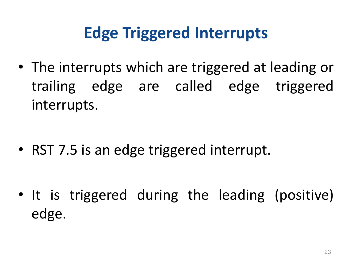# **Edge Triggered Interrupts**

• The interrupts which are triggered at leading or trailing edge are called edge triggered interrupts.

• RST 7.5 is an edge triggered interrupt.

• It is triggered during the leading (positive) edge.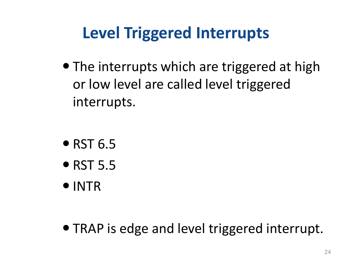# **Level Triggered Interrupts**

• The interrupts which are triggered at high or low level are called level triggered interrupts.

- $\bullet$  RST 6.5
- $\bullet$  RST 5.5
- INTR

• TRAP is edge and level triggered interrupt.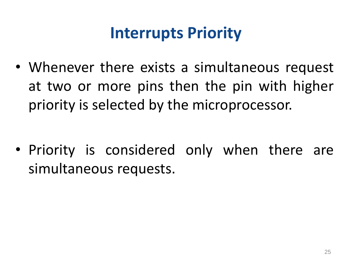## **Interrupts Priority**

• Whenever there exists a simultaneous request at two or more pins then the pin with higher priority is selected by the microprocessor.

• Priority is considered only when there are simultaneous requests.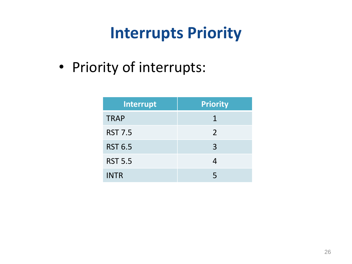## **Interrupts Priority**

• Priority of interrupts:

| Interrupt      | <b>Priority</b> |  |
|----------------|-----------------|--|
| <b>TRAP</b>    | 1               |  |
| <b>RST 7.5</b> | 2               |  |
| <b>RST 6.5</b> | 3               |  |
| <b>RST 5.5</b> | 4               |  |
| <b>INTR</b>    | 5               |  |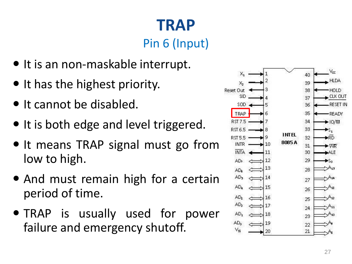# **TRAP**

#### Pin 6 (Input)

- $\bullet$  It is an non-maskable interrupt.
- $\bullet$  It has the highest priority.
- It cannot be disabled.
- It is both edge and level triggered.
- $\bullet$  It means TRAP signal must go from low to high.
- And must remain high for a certain period of time.
- TRAP is usually used for power failure and emergency shutoff.

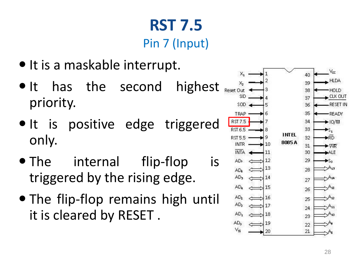### **RST 7.5** Pin 7 (Input)

- It is a maskable interrupt.
- It has the second highest priority.
- It is positive edge triggered only.
- The internal flip-flop is triggered by the rising edge.
- The flip-flop remains high until it is cleared by RESET .

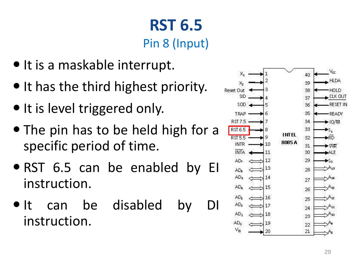## **RST 6.5** Pin 8 (Input)

- It is a maskable interrupt.
- It has the third highest priority.
- $\bullet$  It is level triggered only.
- The pin has to be held high for a specific period of time.
- RST 6.5 can be enabled by EI instruction.
- It can be disabled by DI instruction.

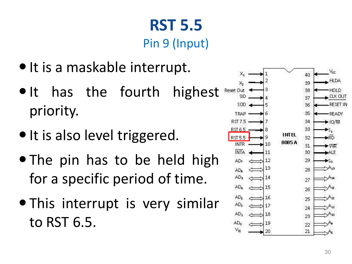#### **RST 5.5** Pin 9 (Input)

- It is a maskable interrupt.
- It has the fourth highest priority.
- It is also level triggered.
- The pin has to be held high for a specific period of time.
- This interrupt is very similar to RST 6.5.

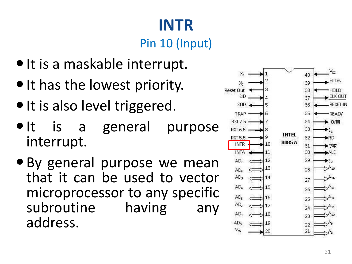# **INTR**

#### Pin 10 (Input)

- $\bullet$  It is a maskable interrupt.
- $\bullet$  It has the lowest priority.
- · It is also level triggered.
- $\bullet$  It is a general purpose interrupt .
- By general purpose we mean that it can be used to vector microprocessor to any specific subroutine having any address .

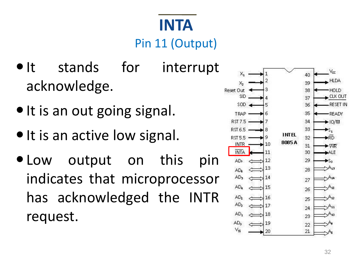## **INTA** Pin 11 (Output)

- It stands for interrupt acknowledge.
- It is an out going signal.
- It is an active low signal.
- Low output on this pin indicates that microprocessor has acknowledged the INTR request.

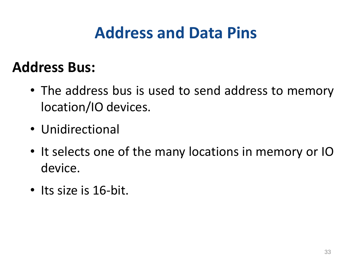# **Address and Data Pins**

#### **Address Bus:**

- The address bus is used to send address to memory location/IO devices.
- Unidirectional
- It selects one of the many locations in memory or IO device.
- Its size is 16-bit.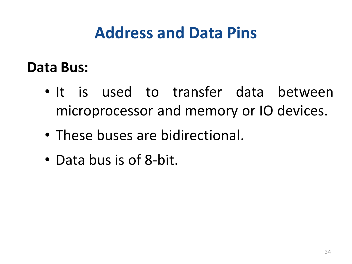## **Address and Data Pins**

#### **Data Bus:**

- It is used to transfer data between microprocessor and memory or IO devices.
- These buses are bidirectional.
- Data bus is of 8-bit.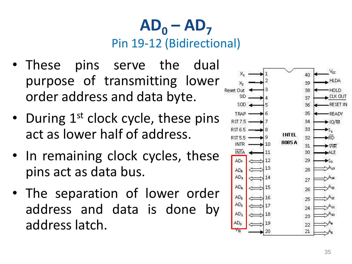#### $AD_0 - AD_7$ Pin 19-12 (Bidirectional)

- These pins serve the dual purpose of transmitting lower order address and data byte.
- During 1st clock cycle, these pins act as lower half of address.
- In remaining clock cycles, these pins act as data bus.
- The separation of lower order address and data is done by address latch.

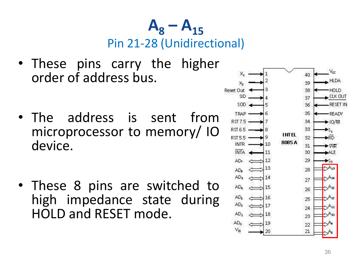$A_8 - A_{15}$ Pin 21-28 (Unidirectional)

- These pins carry the higher order of address bus.
- The address is sent from microprocessor to memory/ IO device.
- These 8 pins are switched to high impedance state during HOLD and RESET mode.

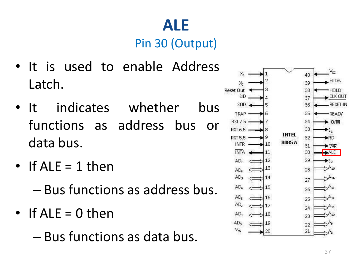#### **ALE** Pin 30 (Output)

- It is used to enable Address Latch.
- It indicates whether bus functions as address bus or data bus.
- If  $ALE = 1$  then
	- Bus functions as address bus.
- If ALE = 0 then
	- Bus functions as data bus.

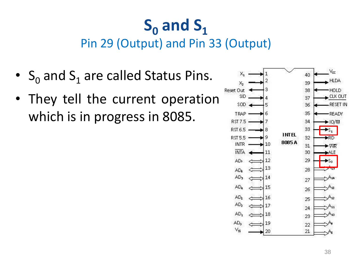#### $S_0$  and  $S_1$ Pin 29 (Output) and Pin 33 (Output)

- $S_0$  and  $S_1$  are called Status Pins.
- They tell the current operation which is in progress in 8085.

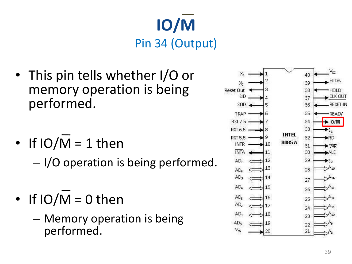

- This pin tells whether I/O or memory operation is being performed.
- If  $IO/M = 1$  then

– I/O operation is being performed.

- $\cdot$  If IO/M = 0 then
	- Memory operation is being performed.

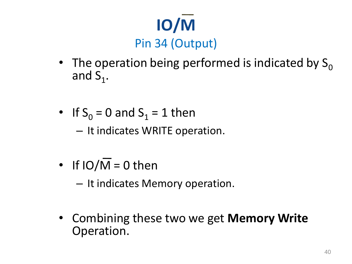

- The operation being performed is indicated by  $S_0$ and  $S_1$ .
- If  $S_0 = 0$  and  $S_1 = 1$  then

– It indicates WRITE operation.

- If  $IO/\overline{M} = 0$  then
	- It indicates Memory operation.
- Combining these two we get **Memory Write** Operation.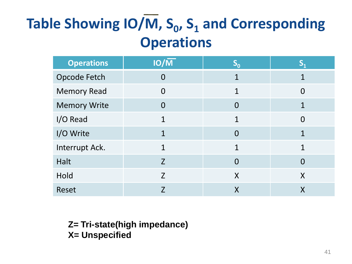## **Table Showing IO/M, S<sup>0</sup> , S<sup>1</sup> and Corresponding Operations**

| <b>Operations</b>   | $IO/\overline{M}$ | $S_0$        | $\mathbf{S}_{1}$ |
|---------------------|-------------------|--------------|------------------|
| Opcode Fetch        | $\overline{0}$    | $\mathbf 1$  | 1                |
| <b>Memory Read</b>  | $\overline{0}$    | $\mathbf{1}$ | $\Omega$         |
| <b>Memory Write</b> | $\overline{0}$    | $\Omega$     | 1                |
| I/O Read            | 1                 | $\mathbf 1$  | $\overline{0}$   |
| I/O Write           | 1                 | $\Omega$     | $\mathbf 1$      |
| Interrupt Ack.      | $\mathbf{1}$      | 1            | $\mathbf 1$      |
| Halt                | Z                 | $\Omega$     | $\overline{0}$   |
| Hold                | Z                 | X            | X                |
| Reset               | 7                 | $\sf X$      | Χ                |

**Z= Tri-state(high impedance) X= Unspecified**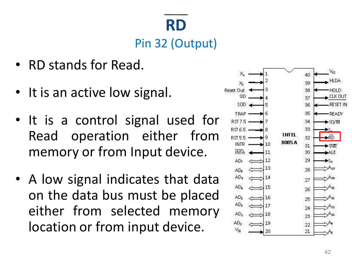## **RD** Pin 32 (Output)

- RD stands for Read.
- It is an active low signal.
- It is a control signal used for Read operation either from memory or from Input device.
- A low signal indicates that data on the data bus must be placed either from selected memory location or from input device.

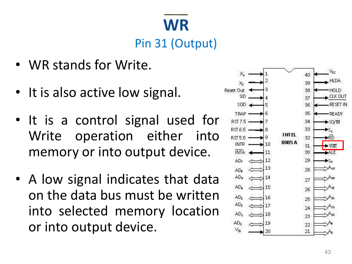### **WR** Pin 31 (Output)

- WR stands for Write.
- It is also active low signal.
- It is a control signal used for Write operation either into memory or into output device.
- A low signal indicates that data on the data bus must be written into selected memory location or into output device.

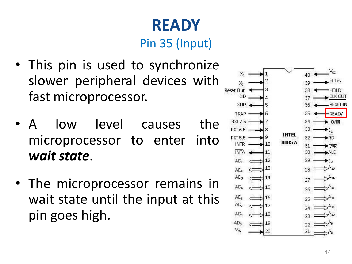# **READY**

#### Pin 35 (Input)

- This pin is used to synchronize slower peripheral devices with fast microprocessor.
- A low level causes the microprocessor to enter into *wait state*.
- The microprocessor remains in wait state until the input at this pin goes high.

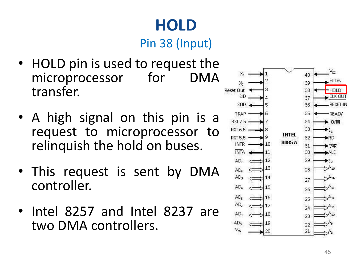# **HOLD**

Pin 38 (Input)

- HOLD pin is used to request the microprocessor for DMA transfer.
- A high signal on this pin is a request to microprocessor to relinquish the hold on buses.
- This request is sent by DMA controller.
- Intel 8257 and Intel 8237 are two DMA controllers.

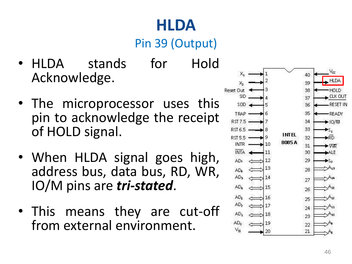# **HLDA**

#### Pin 39 (Output)

- HLDA stands for Hold Acknowledge.
- The microprocessor uses this pin to acknowledge the receipt of HOLD signal.
- When HLDA signal goes high, address bus, data bus, RD, WR, IO/M pins are *tri-stated*.
- This means they are cut-off from external environment.

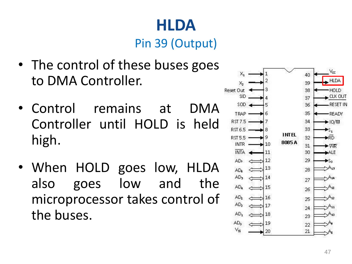## **HLDA**

Pin 39 (Output)

- The control of these buses goes to DMA Controller.
- Control remains at DMA Controller until HOLD is held high.
- When HOLD goes low, HLDA also goes low and the microprocessor takes control of the buses.